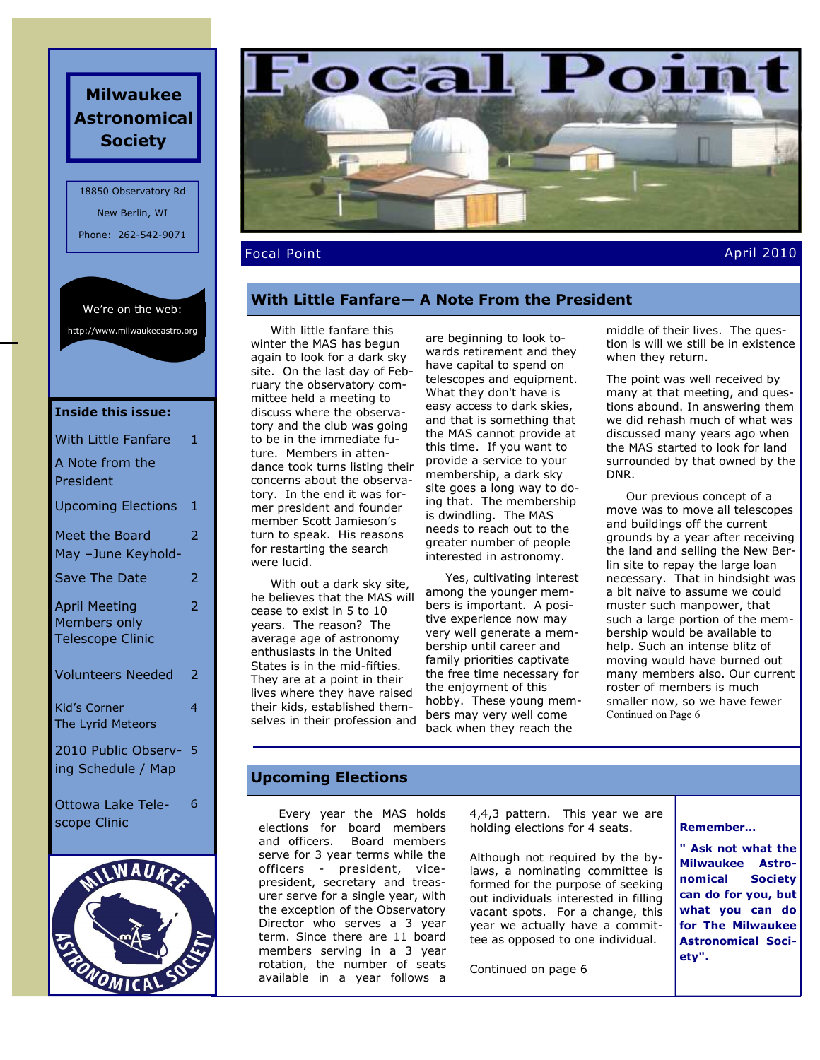# **Milwaukee Astronomical Society**

18850 Observatory Rd New Berlin, WI Phone: 262-542-9071

We're on the web:

http://www.milwaukeeastro.org

| <b>Inside this issue:</b>                                       |                |
|-----------------------------------------------------------------|----------------|
| With Little Fanfare                                             | 1              |
| A Note from the<br>President                                    |                |
| <b>Upcoming Elections</b>                                       | 1              |
| <b>Meet the Board</b><br>May -June Keyhold-                     | 2              |
| <b>Save The Date</b>                                            | 2              |
| <b>April Meeting</b><br>Members only<br><b>Telescope Clinic</b> | $\overline{2}$ |
| <b>Volunteers Needed</b>                                        | 2              |
| <b>Kid's Corner</b><br>The Lyrid Meteors                        | 4              |
| 2010 Public Observ-<br>ing Schedule / Map                       | 5              |
| Ottowa Lake Tele-                                               | 6              |

scope Clinic





Focal Point April 2010

# **With Little Fanfare— A Note From the President**

 With little fanfare this winter the MAS has begun again to look for a dark sky site. On the last day of February the observatory committee held a meeting to discuss where the observatory and the club was going to be in the immediate future. Members in attendance took turns listing their concerns about the observatory. In the end it was former president and founder member Scott Jamieson's turn to speak. His reasons for restarting the search were lucid.

 With out a dark sky site, he believes that the MAS will cease to exist in 5 to 10 years. The reason? The average age of astronomy enthusiasts in the United States is in the mid-fifties. They are at a point in their lives where they have raised their kids, established themselves in their profession and

are beginning to look towards retirement and they have capital to spend on telescopes and equipment. What they don't have is easy access to dark skies, and that is something that the MAS cannot provide at this time. If you want to provide a service to your membership, a dark sky site goes a long way to doing that. The membership is dwindling. The MAS needs to reach out to the greater number of people interested in astronomy.

 Yes, cultivating interest among the younger members is important. A positive experience now may very well generate a membership until career and family priorities captivate the free time necessary for the enjoyment of this hobby. These young members may very well come back when they reach the

middle of their lives. The question is will we still be in existence when they return.

The point was well received by many at that meeting, and questions abound. In answering them we did rehash much of what was discussed many years ago when the MAS started to look for land surrounded by that owned by the DNR.

 Our previous concept of a move was to move all telescopes and buildings off the current grounds by a year after receiving the land and selling the New Berlin site to repay the large loan necessary. That in hindsight was a bit naïve to assume we could muster such manpower, that such a large portion of the membership would be available to help. Such an intense blitz of moving would have burned out many members also. Our current roster of members is much smaller now, so we have fewer Continued on Page 6

# **Upcoming Elections**

 Every year the MAS holds elections for board members<br>and officers. Board members Board members serve for 3 year terms while the officers - president, vicepresident, secretary and treasurer serve for a single year, with the exception of the Observatory Director who serves a 3 year term. Since there are 11 board members serving in a 3 year rotation, the number of seats available in a year follows a

4,4,3 pattern. This year we are holding elections for 4 seats.

Although not required by the bylaws, a nominating committee is formed for the purpose of seeking out individuals interested in filling vacant spots. For a change, this year we actually have a committee as opposed to one individual.

Continued on page 6

**Remember…**

**" Ask not what the Milwaukee Astronomical Society can do for you, but what you can do for The Milwaukee Astronomical Society".**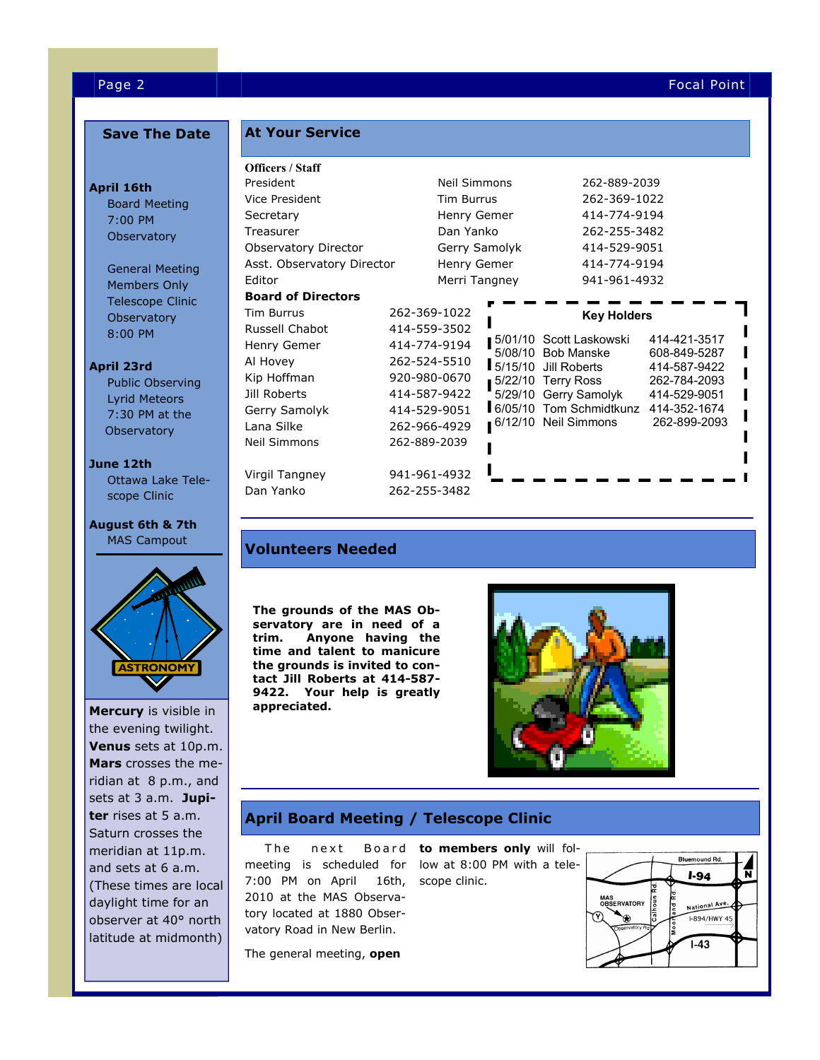### Page 2 Focal Point

**April 16th** 

**April 23rd** 

**June 12th**

# **Save The Date**

Board Meeting 7:00 PM **Observatory** 

 General Meeting Members Only Telescope Clinic **Observatory** 8:00 PM

 Public Observing Lyrid Meteors 7:30 PM at the **Observatory** 

 Ottawa Lake Tele scope Clinic

**August 6th & 7th** MAS Campout

the evening twilight. **Venus** sets at 10p.m. **Mars** crosses the meridian at 8 p.m., and sets at 3 a.m. **Jupiter** rises at 5 a.m. Saturn crosses the meridian at 11p.m. and sets at 6 a.m. (These times are local daylight time for an observer at 40° north latitude at midmonth)

**ASTRONOMY** 

## **At Your Service**

| <b>Officers / Staff</b>               |  |                   |              |                                              |                              |
|---------------------------------------|--|-------------------|--------------|----------------------------------------------|------------------------------|
| President                             |  | Neil Simmons      |              | 262-889-2039                                 |                              |
| Vice President                        |  | <b>Tim Burrus</b> |              | 262-369-1022                                 |                              |
| Secretary                             |  | Henry Gemer       |              | 414-774-9194                                 |                              |
| Treasurer                             |  | Dan Yanko         |              | 262-255-3482                                 |                              |
| Gerry Samolyk<br>Observatory Director |  |                   | 414-529-9051 |                                              |                              |
| Asst. Observatory Director            |  | Henry Gemer       |              | 414-774-9194                                 |                              |
| Editor                                |  | Merri Tangney     |              | 941-961-4932                                 |                              |
| <b>Board of Directors</b>             |  |                   |              |                                              |                              |
| Tim Burrus                            |  | 262-369-1022      |              | <b>Key Holders</b>                           |                              |
| Russell Chabot                        |  | 414-559-3502      |              |                                              |                              |
| Henry Gemer                           |  | 414-774-9194      | 5/08/10      | 5/01/10 Scott Laskowski<br><b>Bob Manske</b> | 414-421-3517<br>608-849-5287 |
| Al Hovey                              |  | 262-524-5510      | 5/15/10      | Jill Roberts                                 | 414-587-9422                 |
| Kip Hoffman                           |  | 920-980-0670      | 5/22/10      | Terry Ross                                   | 262-784-2093                 |
| Jill Roberts                          |  | 414-587-9422      |              | 5/29/10 Gerry Samolyk                        | 414-529-9051                 |
| Gerry Samolyk                         |  | 414-529-9051      |              | 6/05/10 Tom Schmidtkunz 414-352-1674         |                              |
| Lana Silke                            |  | 262-966-4929      |              | 6/12/10 Neil Simmons                         | 262-899-2093                 |
| <b>Neil Simmons</b>                   |  | 262-889-2039      |              |                                              |                              |
|                                       |  |                   |              |                                              |                              |
| Virgil Tangney                        |  | 941-961-4932      |              |                                              |                              |
| Dan Yanko                             |  | 262-255-3482      |              |                                              |                              |

# **Volunteers Needed**

**The grounds of the MAS Observatory are in need of a trim. Anyone having the time and talent to manicure the grounds is invited to contact Jill Roberts at 414-587- 9422. Your help is greatly Mercury** is visible in **appreciated.** 



# **April Board Meeting / Telescope Clinic**

The next Board **to members only** will folmeeting is scheduled for low at 8:00 PM with a tele-7:00 PM on April 2010 at the MAS Observatory located at 1880 Observatory Road in New Berlin.

The general meeting, **open** 

16th, scope clinic.

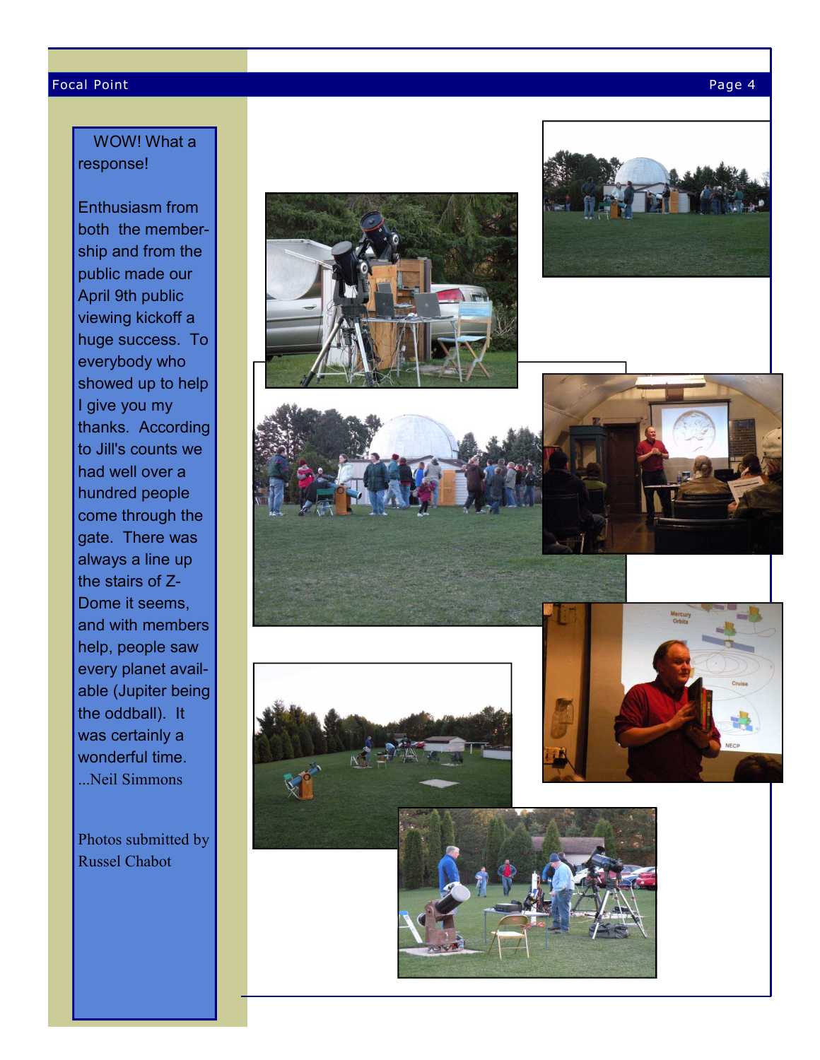#### Focal Point Page 4

# WOW! What a response!

Enthusiasm from both the membership and from the public made our April 9th public viewing kickoff a huge success. To everybody who showed up to help I give you my thanks. According to Jill's counts we had well over a hundred people come through the gate. There was always a line up the stairs of Z-Dome it seems, and with members help, people saw every planet available (Jupiter being the oddball). It was certainly a wonderful time. ...Neil Simmons

Photos submitted by Russel Chabot

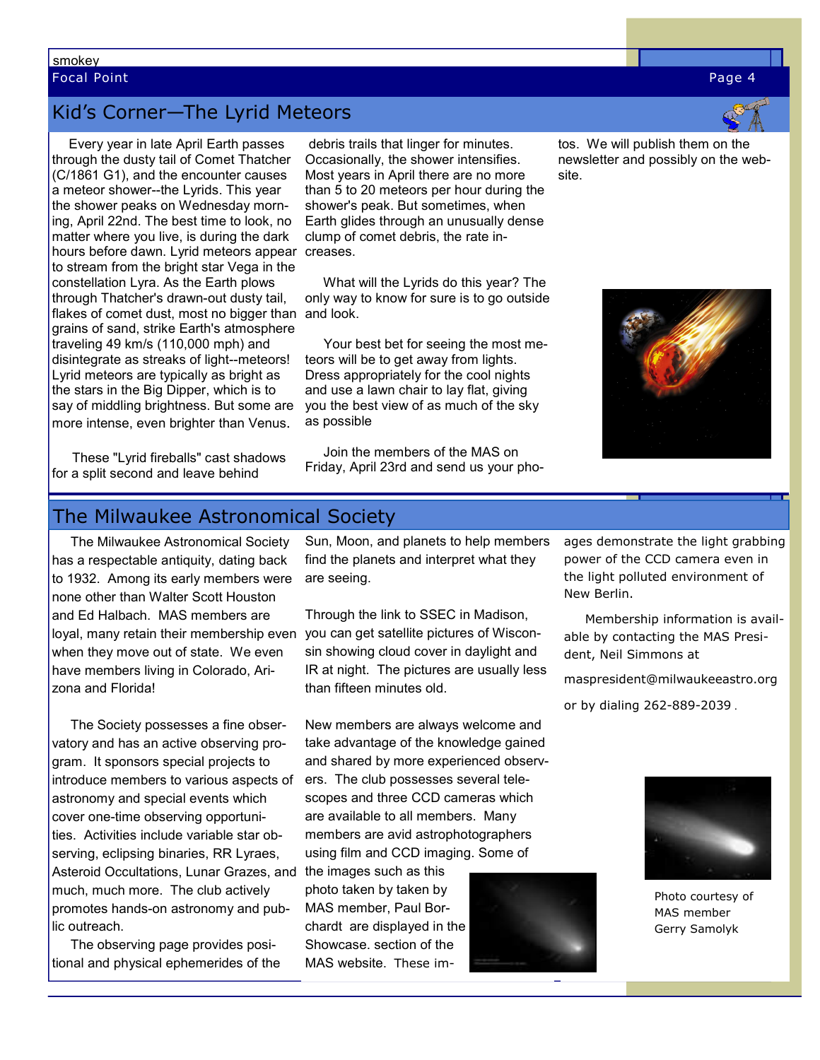# smokey Focal Point Page 4

# Kid's Corner—The Lyrid Meteors

 Every year in late April Earth passes through the dusty tail of Comet Thatcher (C/1861 G1), and the encounter causes a meteor shower--the Lyrids. This year the shower peaks on Wednesday morning, April 22nd. The best time to look, no matter where you live, is during the dark hours before dawn. Lyrid meteors appear to stream from the bright star Vega in the constellation Lyra. As the Earth plows through Thatcher's drawn-out dusty tail, flakes of comet dust, most no bigger than and look. grains of sand, strike Earth's atmosphere traveling 49 km/s (110,000 mph) and disintegrate as streaks of light--meteors! Lyrid meteors are typically as bright as the stars in the Big Dipper, which is to say of middling brightness. But some are more intense, even brighter than Venus.

 debris trails that linger for minutes. Occasionally, the shower intensifies. Most years in April there are no more than 5 to 20 meteors per hour during the shower's peak. But sometimes, when Earth glides through an unusually dense clump of comet debris, the rate increases.

 What will the Lyrids do this year? The only way to know for sure is to go outside

 Your best bet for seeing the most meteors will be to get away from lights. Dress appropriately for the cool nights and use a lawn chair to lay flat, giving you the best view of as much of the sky as possible

 Join the members of the MAS on Friday, April 23rd and send us your photos. We will publish them on the newsletter and possibly on the website.



 These "Lyrid fireballs" cast shadows for a split second and leave behind

# The Milwaukee Astronomical Society

 The Milwaukee Astronomical Society has a respectable antiquity, dating back to 1932. Among its early members were none other than Walter Scott Houston and Ed Halbach. MAS members are loyal, many retain their membership even when they move out of state. We even have members living in Colorado, Arizona and Florida!

 The Society possesses a fine observatory and has an active observing program. It sponsors special projects to introduce members to various aspects of astronomy and special events which cover one-time observing opportunities. Activities include variable star observing, eclipsing binaries, RR Lyraes, Asteroid Occultations, Lunar Grazes, and much, much more. The club actively promotes hands-on astronomy and public outreach.

 The observing page provides positional and physical ephemerides of the

Sun, Moon, and planets to help members find the planets and interpret what they are seeing.

Through the link to SSEC in Madison, you can get satellite pictures of Wisconsin showing cloud cover in daylight and IR at night. The pictures are usually less than fifteen minutes old.

New members are always welcome and take advantage of the knowledge gained and shared by more experienced observers. The club possesses several telescopes and three CCD cameras which are available to all members. Many members are avid astrophotographers using film and CCD imaging. Some of

the images such as this photo taken by taken by MAS member, Paul Borchardt are displayed in the Showcase. section of the MAS website. These im-



ages demonstrate the light grabbing power of the CCD camera even in the light polluted environment of New Berlin.

 Membership information is available by contacting the MAS President, Neil Simmons at

maspresident@milwaukeeastro.org

or by dialing 262-889-2039 .



Photo courtesy of MAS member Gerry Samolyk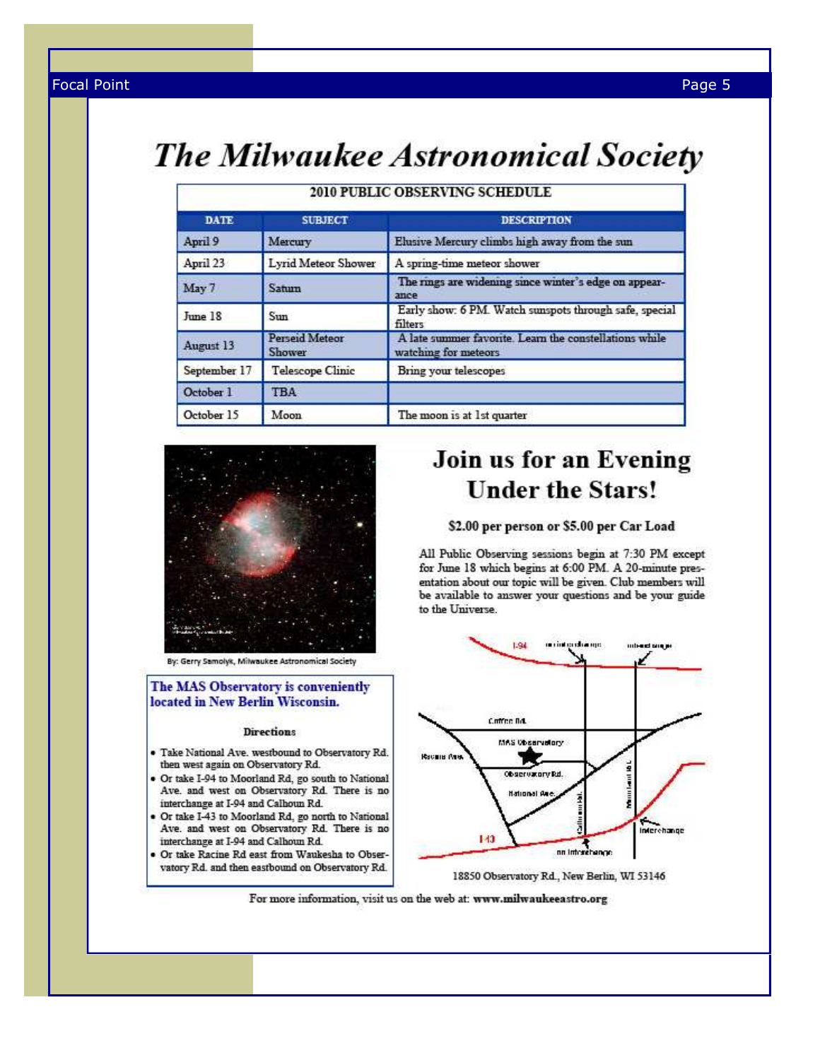# The Milwaukee Astronomical Society

| <b>DATE</b>  | <b>SUBJECT</b>                         | <b>DESCRIPTION</b>                                                             |
|--------------|----------------------------------------|--------------------------------------------------------------------------------|
| April 9      | Mercury                                | Elusive Mercury climbs high away from the sun                                  |
| April 23     | Lyrid Meteor Shower                    | A spring-time meteor shower                                                    |
| May 7        | Satum                                  | The rings are widening since winter's edge on appear-<br>ance                  |
| June 18      | Sun                                    | Early show: 6 PM. Watch sunspots through safe, special<br>filters              |
| August 13    | <b>Perseid Meteor</b><br><b>Shower</b> | A late summer favorite. Learn the constellations while<br>watching for meteors |
| September 17 | <b>Telescope Clinic</b>                | <b>Bring your telescopes</b>                                                   |
| October 1    | <b>TBA</b>                             |                                                                                |
| October 15   | Moon                                   | The moon is at 1st quarter                                                     |

# 2010 PUBLIC OBSERVING SCHEDULE



By: Gerry Samolyk, Milwaukee Astronomical Society

### The MAS Observatory is conveniently located in New Berlin Wisconsin.

#### **Directions**

- · Take National Ave. westbound to Observatory Rd. then west again on Observatory Rd.
- · Or take I-94 to Moorland Rd, go south to National Ave. and west on Observatory Rd. There is no interchange at I-94 and Calhoun Rd.
- · Or take I-43 to Moorland Rd, go north to National Ave. and west on Observatory Rd. There is no interchange at I-94 and Calhoun Rd.
- · Or take Racine Rd east from Waukesha to Observatory Rd. and then eastbound on Observatory Rd.

# Join us for an Evening **Under the Stars!**

### \$2.00 per person or \$5.00 per Car Load

All Public Observing sessions begin at 7:30 PM except for June 18 which begins at 6:00 PM. A 20-minute presentation about our topic will be given. Club members will be available to answer your questions and be your guide to the Universe.



<sup>18850</sup> Observatory Rd., New Berlin, WI 53146

For more information, visit us on the web at: www.milwaukeeastro.org